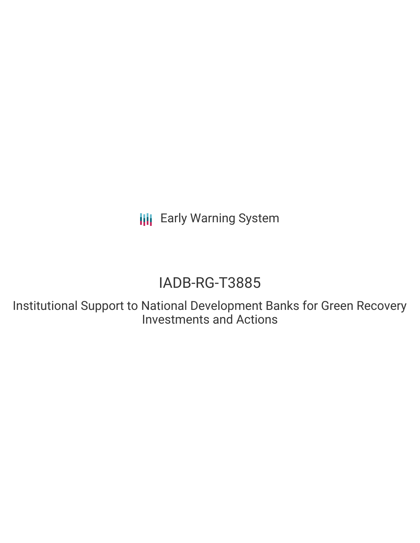**III** Early Warning System

# IADB-RG-T3885

Institutional Support to National Development Banks for Green Recovery Investments and Actions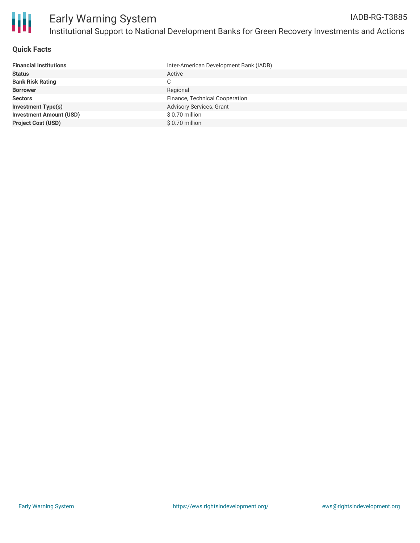

#### **Quick Facts**

| Inter-American Development Bank (IADB) |
|----------------------------------------|
| Active                                 |
| C                                      |
| Regional                               |
| Finance, Technical Cooperation         |
| Advisory Services, Grant               |
| \$0.70 million                         |
| \$ 0.70 million                        |
|                                        |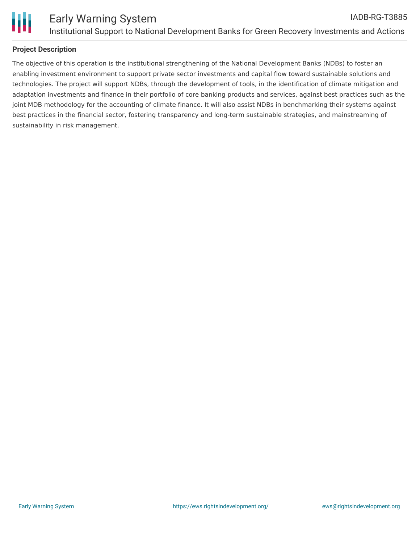

#### **Project Description**

The objective of this operation is the institutional strengthening of the National Development Banks (NDBs) to foster an enabling investment environment to support private sector investments and capital flow toward sustainable solutions and technologies. The project will support NDBs, through the development of tools, in the identification of climate mitigation and adaptation investments and finance in their portfolio of core banking products and services, against best practices such as the joint MDB methodology for the accounting of climate finance. It will also assist NDBs in benchmarking their systems against best practices in the financial sector, fostering transparency and long-term sustainable strategies, and mainstreaming of sustainability in risk management.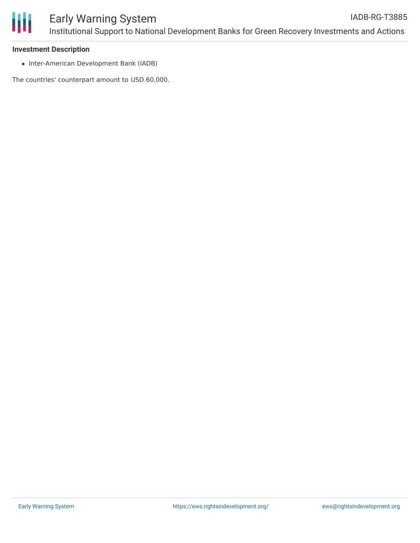

#### **Investment Description**

• Inter-American Development Bank (IADB)

The countries' counterpart amount to USD 60,000.